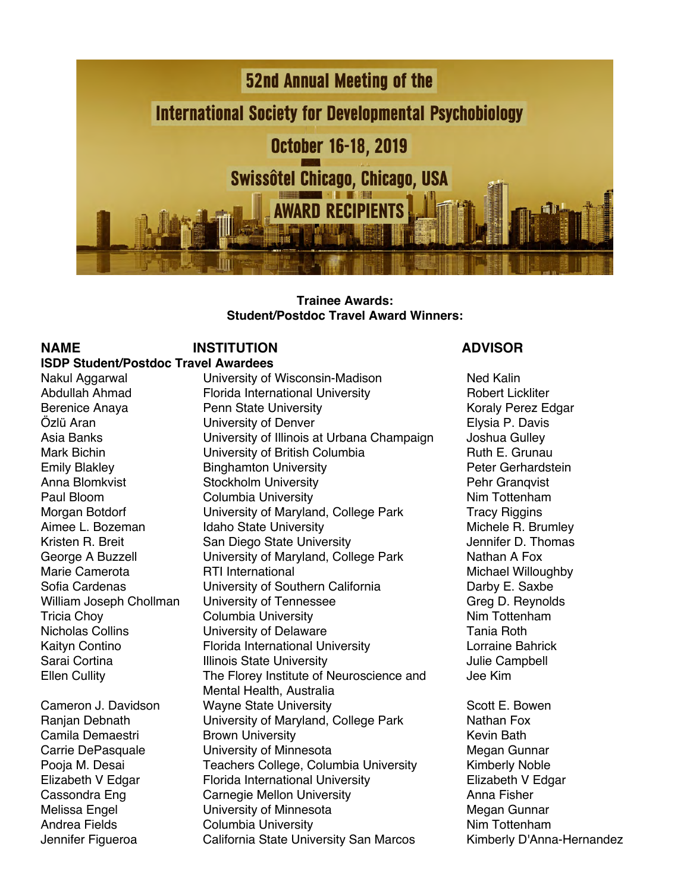

### **Trainee Awards: Student/Postdoc Travel Award Winners:**

### **NAME INSTITUTION ADVISOR ISDP Student/Postdoc Travel Awardees**

Nakul Aggarwal **Iniversity of Wisconsin-Madison** Ned Kalin Abdullah Ahmad Florida International University **Robert Lickliter** Robert Lickliter Berenice Anaya **Penn State University Perentical Control** Koraly Perez Edgar Özlü Aran **Elysia P. Davis** University of Denver **Elysia P. Davis** Asia Banks University of Illinois at Urbana Champaign Joshua Gulley Mark Bichin **E. Grunau** University of British Columbia **Ruth E. Grunau** Emily Blakley **Binghamton University Binghamton University** Peter Gerhardstein Anna Blomkvist **Stockholm University No. 2016** Pehr Granqvist Paul Bloom Columbia University Nim Tottenham Morgan Botdorf **Edgel Contains University of Maryland, College Park** Tracy Riggins Aimee L. Bozeman Idaho State University **Michele R. Brumley** Michele R. Brumley Kristen R. Breit **San Diego State University** Summary Jennifer D. Thomas George A Buzzell **Container University of Maryland, College Park** Nathan A Fox<br>
Marie Camerota **Night RTI** International RTI International Michael Willoughby Sofia Cardenas **University of Southern California** Darby E. Saxbe William Joseph Chollman University of Tennessee Greg Carea D. Reynolds Tricia Chov Columbia University **Nim Tottenham** Nicholas Collins **Nicholas Collins** University of Delaware **Tania Roth** Kaityn Contino Florida International University Lorraine Bahrick Sarai Cortina **Illinois State University** Campbell Gampbell Ellen Cullity The Florey Institute of Neuroscience and Jee Kim Mental Health, Australia Cameron J. Davidson **Wayne State University Scott E. Bowen** Scott E. Bowen Ranjan Debnath **University of Maryland, College Park** Nathan Fox Camila Demaestri **Brown University Brown Hill** Brown Hollowski Mercury Revin Bath Carrie DePasquale **Carrie University of Minnesota** Megan Gunnar Pooja M. Desai **Teachers College, Columbia University** Kimberly Noble Elizabeth V Edgar Florida International University Flizabeth V Edgar<br>Cassondra Eng Carnegie Mellon University Floresty Anna Fisher Carnegie Mellon University **Anna Fisher** Anna Fisher Melissa Engel **Melissa Engel** University of Minnesota **Megan Gunnar** Andrea Fields Columbia University **Nim Tottenham** Jennifer Figueroa California State University San Marcos Kimberly D'Anna-Hernandez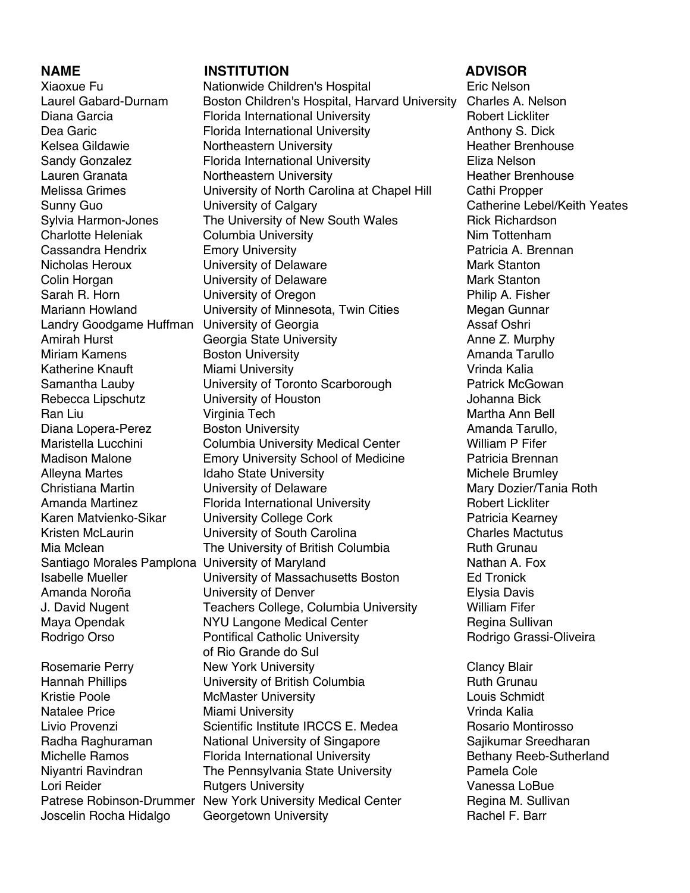Amirah Hurst Georgia State University

### **NAME INSTITUTION ADVISOR**

Xiaoxue Fu Nationwide Children's Hospital Eric Nelson Laurel Gabard-Durnam Boston Children's Hospital, Harvard University Charles A. Nelson Diana Garcia **Florida International University** Robert Lickliter Dea Garic **Florida International University** Anthony S. Dick Kelsea Gildawie **Northeastern University Northeastern Heather Brenhouse** Sandy Gonzalez Florida International University Eliza Nelson Lauren Granata **Northeastern University** Meather Brenhouse Melissa Grimes University of North Carolina at Chapel Hill Cathi Propper Sunny Guo University of Calgary Catherine Lebel/Keith Yeates Sylvia Harmon-Jones The University of New South Wales Rick Richardson Charlotte Heleniak Columbia University **Nim Tottenham** Cassandra Hendrix **Emory University Emory Patricia A. Brennan** Nicholas Heroux **University of Delaware** Mark Stanton Colin Horgan **Colin Horgan** University of Delaware **Mark Stanton** Sarah R. Horn **E. S. E. S. E. S. E. S. E. S. E. S. E. S. E. S. E. S. E. S. E. S. E. S. E. S. E. S. E. S. E. S. E. S. E. S. E. S. E. S. E. S. E. S. E. S. E. S. E. S. E. S. E. S. E. S. E. S. E. S. E. S. E. S. E. S. E. S. E.** Mariann Howland University of Minnesota, Twin Cities Megan Gunnar Landry Goodgame Huffman University of Georgia<br>
Amirah Hurst Ceorgia State University **Amirah Hurst Anne Z. Murphy** Miriam Kamens **Boston University Amanda Tarullo** Amanda Tarullo Katherine Knauft **Miami University** Miami Vrinda Kalia Samantha Lauby **University of Toronto Scarborough** Patrick McGowan Rebecca Lipschutz University of Houston Johanna Bick Virginia Tech **Martha Ann Bell** Martha Ann Bell Diana Lopera-Perez **Boston University Boston Amanda Tarullo**, Maristella Lucchini Columbia University Medical Center William P Fifer Madison Malone **Emory University School of Medicine** Patricia Brennan Alleyna Martes **In the Internal Michele Brumley** Idaho State University **Michele Brumley** Christiana Martin **Christiana Martin Christiana Christiana** University of Delaware Martin Mary Dozier/Tania Roth Amanda Martinez **Florida International University** Robert Lickliter Karen Matvienko-Sikar buniversity College Cork The Matricia Kearney Kristen McLaurin **Example 3** University of South Carolina **Charles Mactutus** Mia Mclean **The University of British Columbia** Ruth Grunau Santiago Morales Pamplona University of Maryland<br>
Isabelle Mueller Musler Contractive of Massachusetts Boston Fel Tronick University of Massachusetts Boston Ed Tronick Amanda Noroña University of Denver Elysia Davis J. David Nugent **Teachers College, Columbia University** William Fifer Maya Opendak **NYU Langone Medical Center** Regina Sullivan Rodrigo Orso **Pontifical Catholic University** Rodrigo Grassi-Oliveira of Rio Grande do Sul Rosemarie Perry **New York University New York University New York District New York District Clancy Blair** Hannah Phillips **Columbia** University of British Columbia **Ruth Grunau**<br>Kristie Poole **Ruth Colle** McMaster University McMaster University **Louis Schmidt** Natalee Price **Miami University** Vrinda Kalia Livio Provenzi **Scientific Institute IRCCS E. Medea** Rosario Montirosso Radha Raghuraman National University of Singapore Sajikumar Sreedharan Michelle Ramos **Florida International University** Bethany Reeb-Sutherland Niyantri Ravindran The Pennsylvania State University Pamela Cole Lori Reider **Rutgers University Rutgers University Rutgers** Vanessa LoBue Patrese Robinson-Drummer New York University Medical Center Regina M. Sullivan Joscelin Rocha Hidalgo Georgetown University **Rachel F. Barr** Rachel F. Barr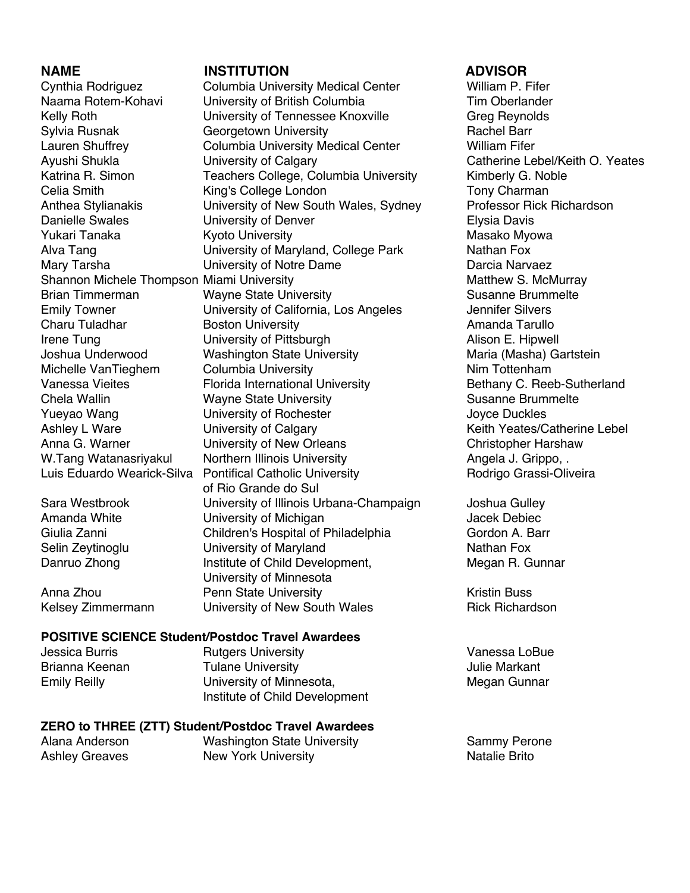### **NAME INSTITUTION ADVISOR**

Cynthia Rodriguez Columbia University Medical Center William P. Fifer Naama Rotem-Kohavi University of British Columbia Tim Oberlander Kelly Roth **Example 20 University of Tennessee Knoxville** Greg Reynolds Sylvia Rusnak Georgetown University **Rachel Barr** Rachel Barr Lauren Shuffrey Columbia University Medical Center William Fifer Ayushi Shukla **National Conference Calgary** Catherine Lebel/Keith O. Yeates Katrina R. Simon **Teachers College, Columbia University** Kimberly G. Noble Celia Smith **King's College London** Tony Charman Tony Charman Anthea Stylianakis **University of New South Wales, Sydney** Professor Rick Richardson Danielle Swales **Elysia Davis** University of Denver **Elysia Davis** Elysia Davis Yukari Tanaka **Kyoto University** Masako Myowa Alva Tang **Nathan Fox** University of Maryland, College Park **Nathan Fox** Mary Tarsha **Nary Tarsha Communisty of Notre Dame** Darcia Narvaez Shannon Michele Thompson Miami University Matthew S. McMurray Brian Timmerman **Susanne State University** Susanne Brummelte Emily Towner University of California, Los Angeles Jennifer Silvers Charu Tuladhar **Boston University Boston Hills Amanda Tarullo** Irene Tung **Interversity of Pittsburgh** Alison E. Hipwell Joshua Underwood Washington State University Maria (Masha) Gartstein Michelle VanTieghem Columbia University Nim Tottenham Vanessa Vieites **Florida International University Bethany C. Reeb-Sutherland** Chela Wallin **Susanne State University** Susanne Brummelte Yueyao Wang The University of Rochester The Manuson Cove Duckles Ashley L Ware **University of Calgary** Manuscription and Meith Yeates/Catherine Lebel Anna G. Warner **Christopher Harshaw** University of New Orleans **Christopher Harshaw** W.Tang Watanasriyakul Northern Illinois University **Angela J. Grippo, .** Luis Eduardo Wearick-Silva Pontifical Catholic University **Rodrigo Grassi-Oliveira** of Rio Grande do Sul Sara Westbrook **University of Illinois Urbana-Champaign** Joshua Gulley Amanda White **Contains University of Michigan** Machiness Macek Debiec Giulia Zanni **Children's Hospital of Philadelphia** Gordon A. Barr Selin Zeytinoglu **Selin Zeytinoglu** University of Maryland Nathan Fox Danruo Zhong **Institute of Child Development,** Megan R. Gunnar University of Minnesota Anna Zhou **Penn State University Rennisty Rennisty Kristin Buss** Kelsey Zimmermann University of New South Wales Rick Richardson

### Jessica Burris Rutgers University Vanessa LoBue Brianna Keenan Tulane University Julie Markant Emily Reilly **Network** University of Minnesota, **Megan Gunnar** Megan Gunnar

# **ZERO to THREE (ZTT) Student/Postdoc Travel Awardees**

**POSITIVE SCIENCE Student/Postdoc Travel Awardees**

Alana Anderson **Mashington State University** Sammy Perone<br>Ashley Greaves **New York University** Sammy Natalie Brito New York University New York University

Institute of Child Development